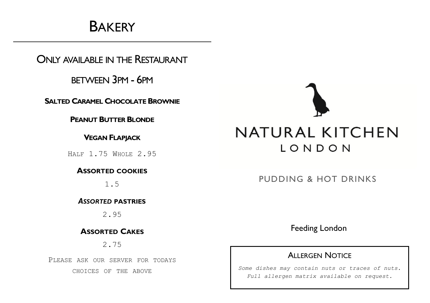# **BAKERY**

ONLY AVAILABLE IN THE RESTAURANT

BETWEEN 3PM - 6PM

**SALTED CARAMEL CHOCOLATEBROWNIE**

**PEANUT BUTTERBLONDE**

**VEGAN FLAPJACK**

HALF 1.75 WHOLE 2.95

**ASSORTED COOKIES**

1.5

*ASSORTED* **PASTRIES**

2.95

**ASSORTED CAKES**

2.75

PLEASE ASK OUR SERVER FOR TODAYS CHOICES OF THE ABOVE



PUDDING & HOT DRINKS

Feeding London

#### ALLERGEN NOTICE

*Some dishes may contain nuts or traces of nuts. Full allergen matrix available on request.*